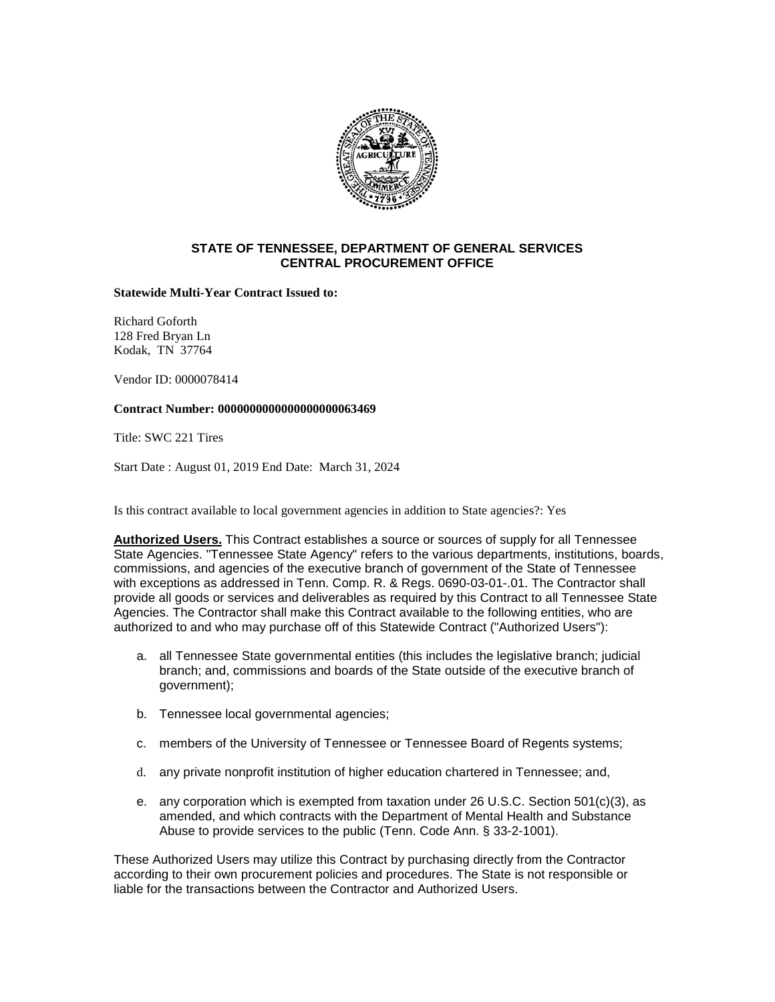

## **STATE OF TENNESSEE, DEPARTMENT OF GENERAL SERVICES CENTRAL PROCUREMENT OFFICE**

**Statewide Multi-Year Contract Issued to:**

Richard Goforth 128 Fred Bryan Ln Kodak, TN 37764

Vendor ID: 0000078414

### **Contract Number: 0000000000000000000063469**

Title: SWC 221 Tires

Start Date : August 01, 2019 End Date: March 31, 2024

Is this contract available to local government agencies in addition to State agencies?: Yes

**Authorized Users.** This Contract establishes a source or sources of supply for all Tennessee State Agencies. "Tennessee State Agency" refers to the various departments, institutions, boards, commissions, and agencies of the executive branch of government of the State of Tennessee with exceptions as addressed in Tenn. Comp. R. & Regs. 0690-03-01-.01. The Contractor shall provide all goods or services and deliverables as required by this Contract to all Tennessee State Agencies. The Contractor shall make this Contract available to the following entities, who are authorized to and who may purchase off of this Statewide Contract ("Authorized Users"):

- a. all Tennessee State governmental entities (this includes the legislative branch; judicial branch; and, commissions and boards of the State outside of the executive branch of government);
- b. Tennessee local governmental agencies;
- c. members of the University of Tennessee or Tennessee Board of Regents systems;
- d. any private nonprofit institution of higher education chartered in Tennessee; and,
- e. any corporation which is exempted from taxation under 26 U.S.C. Section 501(c)(3), as amended, and which contracts with the Department of Mental Health and Substance Abuse to provide services to the public (Tenn. Code Ann. § 33-2-1001).

These Authorized Users may utilize this Contract by purchasing directly from the Contractor according to their own procurement policies and procedures. The State is not responsible or liable for the transactions between the Contractor and Authorized Users.